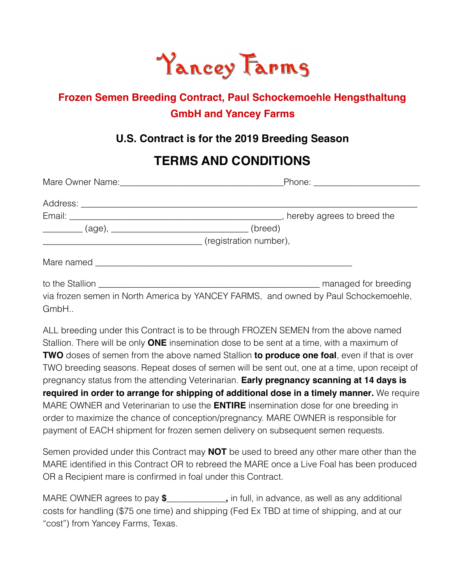# **Yancey Farms**

## **Frozen Semen Breeding Contract, Paul Schockemoehle Hengsthaltung GmbH and Yancey Farms**

### **U.S. Contract is for the 2019 Breeding Season**

# **TERMS AND CONDITIONS**

|                                                              | Phone: ___________________________                                                  |  |  |
|--------------------------------------------------------------|-------------------------------------------------------------------------------------|--|--|
|                                                              |                                                                                     |  |  |
|                                                              |                                                                                     |  |  |
| __________ (age), __________________________________ (breed) |                                                                                     |  |  |
|                                                              |                                                                                     |  |  |
|                                                              |                                                                                     |  |  |
|                                                              |                                                                                     |  |  |
|                                                              | via frozen semen in North America by YANCEY FARMS, and owned by Paul Schockemoehle, |  |  |

GmbH..

ALL breeding under this Contract is to be through FROZEN SEMEN from the above named Stallion. There will be only **ONE** insemination dose to be sent at a time, with a maximum of **TWO** doses of semen from the above named Stallion **to produce one foal**, even if that is over TWO breeding seasons. Repeat doses of semen will be sent out, one at a time, upon receipt of pregnancy status from the attending Veterinarian. **Early pregnancy scanning at 14 days is required in order to arrange for shipping of additional dose in a timely manner.** We require MARE OWNER and Veterinarian to use the **ENTIRE** insemination dose for one breeding in order to maximize the chance of conception/pregnancy. MARE OWNER is responsible for payment of EACH shipment for frozen semen delivery on subsequent semen requests.

Semen provided under this Contract may **NOT** be used to breed any other mare other than the MARE identified in this Contract OR to rebreed the MARE once a Live Foal has been produced OR a Recipient mare is confirmed in foal under this Contract.

MARE OWNER agrees to pay **\$\_\_\_\_\_\_\_\_\_\_\_\_,** in full, in advance, as well as any additional costs for handling (\$75 one time) and shipping (Fed Ex TBD at time of shipping, and at our "cost") from Yancey Farms, Texas.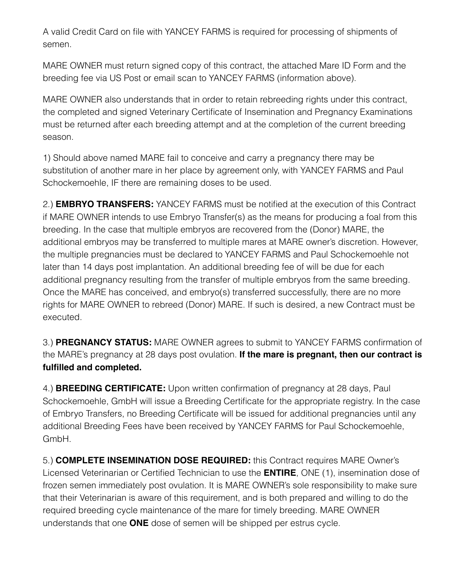A valid Credit Card on file with YANCEY FARMS is required for processing of shipments of semen.

MARE OWNER must return signed copy of this contract, the attached Mare ID Form and the breeding fee via US Post or email scan to YANCEY FARMS (information above).

MARE OWNER also understands that in order to retain rebreeding rights under this contract, the completed and signed Veterinary Certificate of Insemination and Pregnancy Examinations must be returned after each breeding attempt and at the completion of the current breeding season.

1) Should above named MARE fail to conceive and carry a pregnancy there may be substitution of another mare in her place by agreement only, with YANCEY FARMS and Paul Schockemoehle, IF there are remaining doses to be used.

2.) **EMBRYO TRANSFERS:** YANCEY FARMS must be notified at the execution of this Contract if MARE OWNER intends to use Embryo Transfer(s) as the means for producing a foal from this breeding. In the case that multiple embryos are recovered from the (Donor) MARE, the additional embryos may be transferred to multiple mares at MARE owner's discretion. However, the multiple pregnancies must be declared to YANCEY FARMS and Paul Schockemoehle not later than 14 days post implantation. An additional breeding fee of will be due for each additional pregnancy resulting from the transfer of multiple embryos from the same breeding. Once the MARE has conceived, and embryo(s) transferred successfully, there are no more rights for MARE OWNER to rebreed (Donor) MARE. If such is desired, a new Contract must be executed.

3.) **PREGNANCY STATUS:** MARE OWNER agrees to submit to YANCEY FARMS confirmation of the MARE's pregnancy at 28 days post ovulation. **If the mare is pregnant, then our contract is fulfilled and completed.** 

4.) **BREEDING CERTIFICATE:** Upon written confirmation of pregnancy at 28 days, Paul Schockemoehle, GmbH will issue a Breeding Certificate for the appropriate registry. In the case of Embryo Transfers, no Breeding Certificate will be issued for additional pregnancies until any additional Breeding Fees have been received by YANCEY FARMS for Paul Schockemoehle, GmbH.

5.) **COMPLETE INSEMINATION DOSE REQUIRED:** this Contract requires MARE Owner's Licensed Veterinarian or Certified Technician to use the **ENTIRE**, ONE (1), insemination dose of frozen semen immediately post ovulation. It is MARE OWNER's sole responsibility to make sure that their Veterinarian is aware of this requirement, and is both prepared and willing to do the required breeding cycle maintenance of the mare for timely breeding. MARE OWNER understands that one **ONE** dose of semen will be shipped per estrus cycle.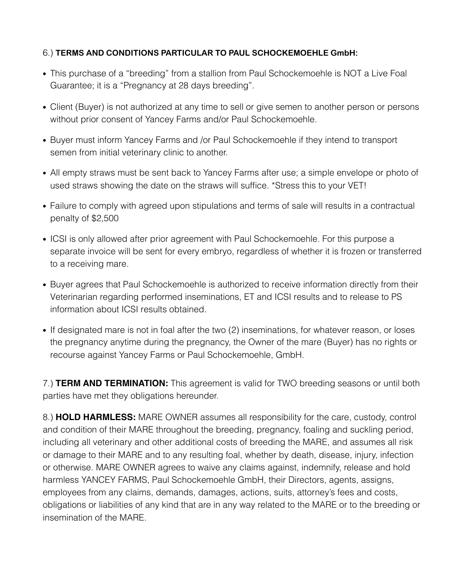#### 6.) **TERMS AND CONDITIONS PARTICULAR TO PAUL SCHOCKEMOEHLE GmbH:**

- This purchase of a "breeding" from a stallion from Paul Schockemoehle is NOT a Live Foal Guarantee; it is a "Pregnancy at 28 days breeding".
- Client (Buyer) is not authorized at any time to sell or give semen to another person or persons without prior consent of Yancey Farms and/or Paul Schockemoehle.
- Buyer must inform Yancey Farms and /or Paul Schockemoehle if they intend to transport semen from initial veterinary clinic to another.
- All empty straws must be sent back to Yancey Farms after use; a simple envelope or photo of used straws showing the date on the straws will suffice. \*Stress this to your VET!
- Failure to comply with agreed upon stipulations and terms of sale will results in a contractual penalty of \$2,500
- ICSI is only allowed after prior agreement with Paul Schockemoehle. For this purpose a separate invoice will be sent for every embryo, regardless of whether it is frozen or transferred to a receiving mare.
- Buyer agrees that Paul Schockemoehle is authorized to receive information directly from their Veterinarian regarding performed inseminations, ET and ICSI results and to release to PS information about ICSI results obtained.
- If designated mare is not in foal after the two (2) inseminations, for whatever reason, or loses the pregnancy anytime during the pregnancy, the Owner of the mare (Buyer) has no rights or recourse against Yancey Farms or Paul Schockemoehle, GmbH.

7.) **TERM AND TERMINATION:** This agreement is valid for TWO breeding seasons or until both parties have met they obligations hereunder.

8.) **HOLD HARMLESS:** MARE OWNER assumes all responsibility for the care, custody, control and condition of their MARE throughout the breeding, pregnancy, foaling and suckling period, including all veterinary and other additional costs of breeding the MARE, and assumes all risk or damage to their MARE and to any resulting foal, whether by death, disease, injury, infection or otherwise. MARE OWNER agrees to waive any claims against, indemnify, release and hold harmless YANCEY FARMS, Paul Schockemoehle GmbH, their Directors, agents, assigns, employees from any claims, demands, damages, actions, suits, attorney's fees and costs, obligations or liabilities of any kind that are in any way related to the MARE or to the breeding or insemination of the MARE.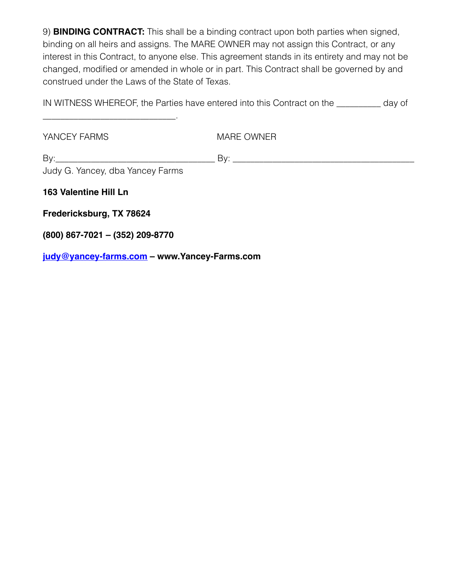9) **BINDING CONTRACT:** This shall be a binding contract upon both parties when signed, binding on all heirs and assigns. The MARE OWNER may not assign this Contract, or any interest in this Contract, to anyone else. This agreement stands in its entirety and may not be changed, modified or amended in whole or in part. This Contract shall be governed by and construed under the Laws of the State of Texas.

IN WITNESS WHEREOF, the Parties have entered into this Contract on the \_\_\_\_\_\_\_\_\_\_ day of

YANCEY FARMS MARE OWNER

 $\mathsf{By:}$ 

Judy G. Yancey, dba Yancey Farms

\_\_\_\_\_\_\_\_\_\_\_\_\_\_\_\_\_\_\_\_\_\_\_\_\_\_\_\_\_\_.

**163 Valentine Hill Ln**

**Fredericksburg, TX 78624**

**(800) 867-7021 – (352) 209-8770**

**[judy@yancey-farms.com](mailto:judy@yancey-farms.com) – www.Yancey-Farms.com**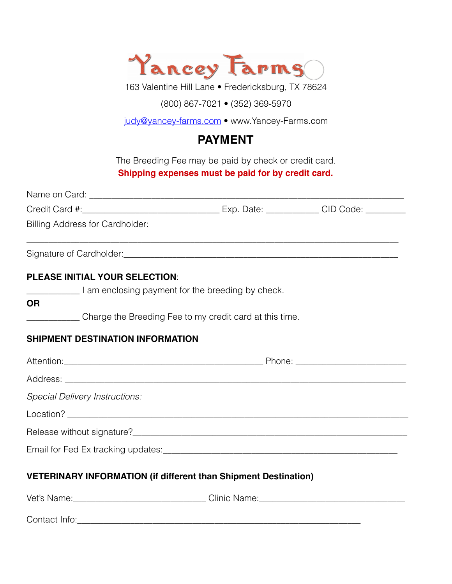

163 Valentine Hill Lane • Fredericksburg, TX 78624

(800) 867-7021 • (352) 369-5970

[judy@yancey-farms.com](mailto:judy@yancey-farms.com) • www.Yancey-Farms.com

## **PAYMENT**

The Breeding Fee may be paid by check or credit card. **Shipping expenses must be paid for by credit card.** 

| Billing Address for Cardholder:                                                   |  |
|-----------------------------------------------------------------------------------|--|
|                                                                                   |  |
| <b>PLEASE INITIAL YOUR SELECTION:</b>                                             |  |
| I am enclosing payment for the breeding by check.                                 |  |
| <b>OR</b>                                                                         |  |
| Charge the Breeding Fee to my credit card at this time.                           |  |
| SHIPMENT DESTINATION INFORMATION                                                  |  |
|                                                                                   |  |
|                                                                                   |  |
| <b>Special Delivery Instructions:</b>                                             |  |
|                                                                                   |  |
|                                                                                   |  |
|                                                                                   |  |
| <b>VETERINARY INFORMATION (if different than Shipment Destination)</b>            |  |
| Vet's Name:_________________________________Clinic Name:_________________________ |  |
|                                                                                   |  |

Contact Info:\_\_\_\_\_\_\_\_\_\_\_\_\_\_\_\_\_\_\_\_\_\_\_\_\_\_\_\_\_\_\_\_\_\_\_\_\_\_\_\_\_\_\_\_\_\_\_\_\_\_\_\_\_\_\_\_\_\_\_\_\_\_\_\_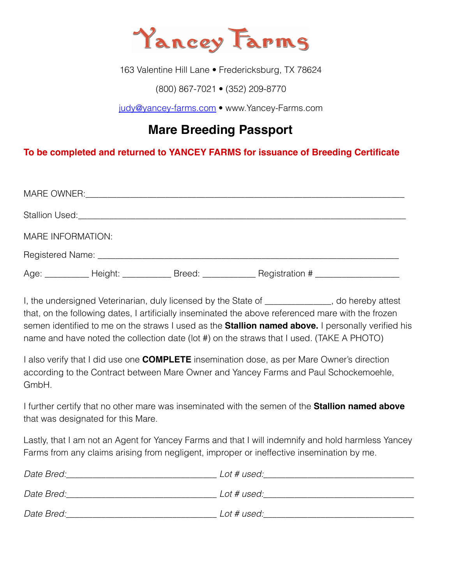

163 Valentine Hill Lane · Fredericksburg, TX 78624

(800) 867-7021 • (352) 209-8770

[judy@yancey-farms.com](mailto:judy@yancey-farms.com) • www.Yancey-Farms.com

# **Mare Breeding Passport**

#### **To be completed and returned to YANCEY FARMS for issuance of Breeding Certificate**

|                   |  | Stallion Used: Note that the state of the state of the state of the state of the state of the state of the state of the state of the state of the state of the state of the state of the state of the state of the state of th |                                                                                                     |  |  |  |
|-------------------|--|--------------------------------------------------------------------------------------------------------------------------------------------------------------------------------------------------------------------------------|-----------------------------------------------------------------------------------------------------|--|--|--|
| MARE INFORMATION: |  |                                                                                                                                                                                                                                |                                                                                                     |  |  |  |
|                   |  |                                                                                                                                                                                                                                |                                                                                                     |  |  |  |
|                   |  |                                                                                                                                                                                                                                | Age: ___________ Height: _____________ Breed: ______________ Registration # _______________________ |  |  |  |

I, the undersigned Veterinarian, duly licensed by the State of The United Statest that, on the following dates, I artificially inseminated the above referenced mare with the frozen semen identified to me on the straws I used as the **Stallion named above.** I personally verified his name and have noted the collection date (lot #) on the straws that I used. (TAKE A PHOTO)

I also verify that I did use one **COMPLETE** insemination dose, as per Mare Owner's direction according to the Contract between Mare Owner and Yancey Farms and Paul Schockemoehle, GmbH.

I further certify that no other mare was inseminated with the semen of the **Stallion named above**  that was designated for this Mare.

Lastly, that I am not an Agent for Yancey Farms and that I will indemnify and hold harmless Yancey Farms from any claims arising from negligent, improper or ineffective insemination by me.

| Date Bred: | Lot # used: |
|------------|-------------|
| Date Bred: | Lot # used: |
| Date Bred: | Lot # used: |